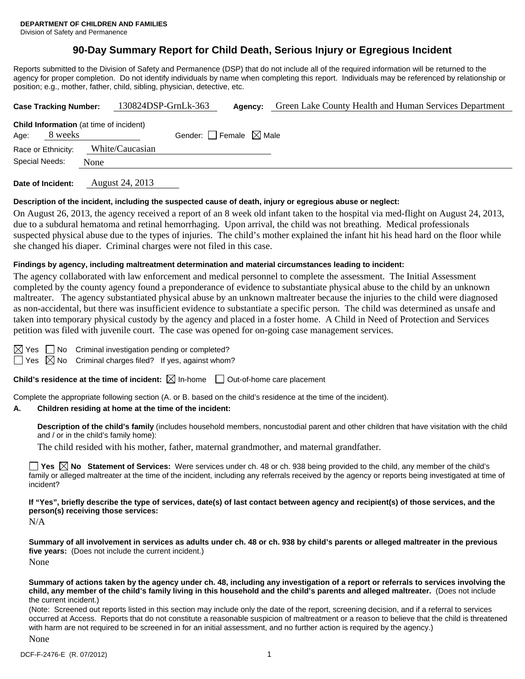#### Division of Safety and Permanence

## **90-Day Summary Report for Child Death, Serious Injury or Egregious Incident**

Reports submitted to the Division of Safety and Permanence (DSP) that do not include all of the required information will be returned to the agency for proper completion. Do not identify individuals by name when completing this report. Individuals may be referenced by relationship or position; e.g., mother, father, child, sibling, physician, detective, etc.

| <b>Case Tracking Number:</b> |         | 130824DSP-GrnLk-363                            |                                 | Agency: | Green Lake County Health and Human Services Department |
|------------------------------|---------|------------------------------------------------|---------------------------------|---------|--------------------------------------------------------|
| Age:                         | 8 weeks | <b>Child Information</b> (at time of incident) | Gender: Female $\boxtimes$ Male |         |                                                        |
| Race or Ethnicity:           |         | White/Caucasian                                |                                 |         |                                                        |
| Special Needs:               |         | None                                           |                                 |         |                                                        |
|                              |         |                                                |                                 |         |                                                        |

**Date of Incident:** August 24, 2013

#### **Description of the incident, including the suspected cause of death, injury or egregious abuse or neglect:**

On August 26, 2013, the agency received a report of an 8 week old infant taken to the hospital via med-flight on August 24, 2013, due to a subdural hematoma and retinal hemorrhaging. Upon arrival, the child was not breathing. Medical professionals suspected physical abuse due to the types of injuries. The child's mother explained the infant hit his head hard on the floor while she changed his diaper. Criminal charges were not filed in this case.

#### **Findings by agency, including maltreatment determination and material circumstances leading to incident:**

The agency collaborated with law enforcement and medical personnel to complete the assessment. The Initial Assessment completed by the county agency found a preponderance of evidence to substantiate physical abuse to the child by an unknown maltreater. The agency substantiated physical abuse by an unknown maltreater because the injuries to the child were diagnosed as non-accidental, but there was insufficient evidence to substantiate a specific person. The child was determined as unsafe and taken into temporary physical custody by the agency and placed in a foster home. A Child in Need of Protection and Services petition was filed with juvenile court. The case was opened for on-going case management services.

No Criminal investigation pending or completed?

 $\Box$  Yes  $\boxtimes$  No Criminal charges filed? If yes, against whom?

**Child's residence at the time of incident:**  $\boxtimes$  In-home  $\Box$  Out-of-home care placement

Complete the appropriate following section (A. or B. based on the child's residence at the time of the incident).

#### **A. Children residing at home at the time of the incident:**

**Description of the child's family** (includes household members, noncustodial parent and other children that have visitation with the child and / or in the child's family home):

The child resided with his mother, father, maternal grandmother, and maternal grandfather.

■ Yes **No** Statement of Services: Were services under ch. 48 or ch. 938 being provided to the child, any member of the child's family or alleged maltreater at the time of the incident, including any referrals received by the agency or reports being investigated at time of incident?

**If "Yes", briefly describe the type of services, date(s) of last contact between agency and recipient(s) of those services, and the person(s) receiving those services:** 

N/A

**Summary of all involvement in services as adults under ch. 48 or ch. 938 by child's parents or alleged maltreater in the previous five years:** (Does not include the current incident.) None

**Summary of actions taken by the agency under ch. 48, including any investigation of a report or referrals to services involving the child, any member of the child's family living in this household and the child's parents and alleged maltreater.** (Does not include the current incident.)

(Note: Screened out reports listed in this section may include only the date of the report, screening decision, and if a referral to services occurred at Access. Reports that do not constitute a reasonable suspicion of maltreatment or a reason to believe that the child is threatened with harm are not required to be screened in for an initial assessment, and no further action is required by the agency.)

None